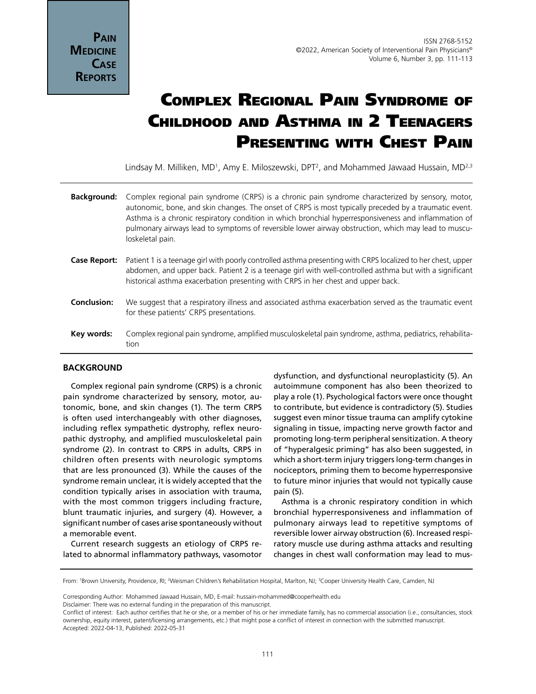# Complex Regional Pain Syndrome of Childhood and Asthma in 2 Teenagers PRESENTING WITH CHEST PAIN

Lindsay M. Milliken, MD<sup>1</sup>, Amy E. Miloszewski, DPT<sup>2</sup>, and Mohammed Jawaad Hussain, MD<sup>2,3</sup>

| <b>Background:</b> | Complex regional pain syndrome (CRPS) is a chronic pain syndrome characterized by sensory, motor,<br>autonomic, bone, and skin changes. The onset of CRPS is most typically preceded by a traumatic event.<br>Asthma is a chronic respiratory condition in which bronchial hyperresponsiveness and inflammation of<br>pulmonary airways lead to symptoms of reversible lower airway obstruction, which may lead to muscu-<br>loskeletal pain. |
|--------------------|-----------------------------------------------------------------------------------------------------------------------------------------------------------------------------------------------------------------------------------------------------------------------------------------------------------------------------------------------------------------------------------------------------------------------------------------------|
| Case Report:       | Patient 1 is a teenage girl with poorly controlled asthma presenting with CRPS localized to her chest, upper<br>abdomen, and upper back. Patient 2 is a teenage girl with well-controlled asthma but with a significant<br>historical asthma exacerbation presenting with CRPS in her chest and upper back.                                                                                                                                   |
| <b>Conclusion:</b> | We suggest that a respiratory illness and associated asthma exacerbation served as the traumatic event<br>for these patients' CRPS presentations.                                                                                                                                                                                                                                                                                             |
| Key words:         | Complex regional pain syndrome, amplified musculoskeletal pain syndrome, asthma, pediatrics, rehabilita-<br>tion                                                                                                                                                                                                                                                                                                                              |

## **BACKGROUND**

Complex regional pain syndrome (CRPS) is a chronic pain syndrome characterized by sensory, motor, autonomic, bone, and skin changes (1). The term CRPS is often used interchangeably with other diagnoses, including reflex sympathetic dystrophy, reflex neuropathic dystrophy, and amplified musculoskeletal pain syndrome (2). In contrast to CRPS in adults, CRPS in children often presents with neurologic symptoms that are less pronounced (3). While the causes of the syndrome remain unclear, it is widely accepted that the condition typically arises in association with trauma, with the most common triggers including fracture, blunt traumatic injuries, and surgery (4). However, a significant number of cases arise spontaneously without a memorable event.

Current research suggests an etiology of CRPS related to abnormal inflammatory pathways, vasomotor dysfunction, and dysfunctional neuroplasticity (5). An autoimmune component has also been theorized to play a role (1). Psychological factors were once thought to contribute, but evidence is contradictory (5). Studies suggest even minor tissue trauma can amplify cytokine signaling in tissue, impacting nerve growth factor and promoting long-term peripheral sensitization. A theory of "hyperalgesic priming" has also been suggested, in which a short-term injury triggers long-term changes in nociceptors, priming them to become hyperresponsive to future minor injuries that would not typically cause pain (5).

Asthma is a chronic respiratory condition in which bronchial hyperresponsiveness and inflammation of pulmonary airways lead to repetitive symptoms of reversible lower airway obstruction (6). Increased respiratory muscle use during asthma attacks and resulting changes in chest wall conformation may lead to mus-

Disclaimer: There was no external funding in the preparation of this manuscript.

From: <sup>1</sup>Brown University, Providence, RI; <sup>2</sup>Weisman Children's Rehabilitation Hospital, Marlton, NJ; <sup>3</sup>Cooper University Health Care, Camden, NJ

Corresponding Author: Mohammed Jawaad Hussain, MD, E-mail: hussain-mohammed@cooperhealth.edu

Conflict of interest: Each author certifies that he or she, or a member of his or her immediate family, has no commercial association (i.e., consultancies, stock ownership, equity interest, patent/licensing arrangements, etc.) that might pose a conflict of interest in connection with the submitted manuscript. Accepted: 2022-04-13, Published: 2022-05-31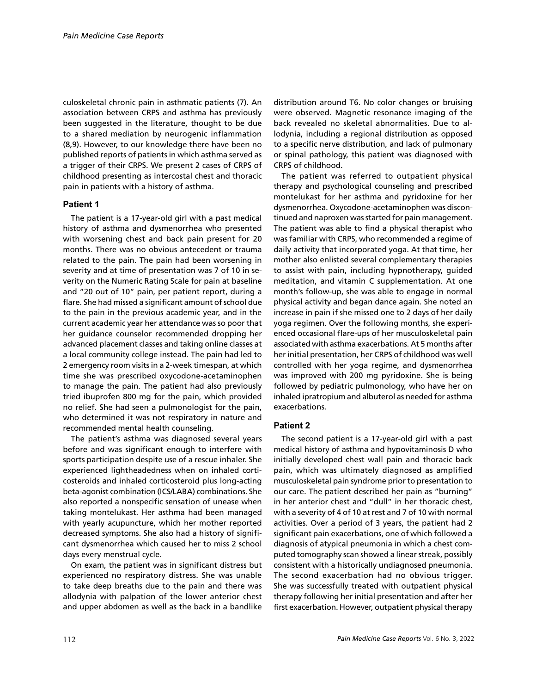culoskeletal chronic pain in asthmatic patients (7). An association between CRPS and asthma has previously been suggested in the literature, thought to be due to a shared mediation by neurogenic inflammation (8,9). However, to our knowledge there have been no published reports of patients in which asthma served as a trigger of their CRPS. We present 2 cases of CRPS of childhood presenting as intercostal chest and thoracic pain in patients with a history of asthma.

### **Patient 1**

The patient is a 17-year-old girl with a past medical history of asthma and dysmenorrhea who presented with worsening chest and back pain present for 20 months. There was no obvious antecedent or trauma related to the pain. The pain had been worsening in severity and at time of presentation was 7 of 10 in severity on the Numeric Rating Scale for pain at baseline and "20 out of 10" pain, per patient report, during a flare. She had missed a significant amount of school due to the pain in the previous academic year, and in the current academic year her attendance was so poor that her guidance counselor recommended dropping her advanced placement classes and taking online classes at a local community college instead. The pain had led to 2 emergency room visits in a 2-week timespan, at which time she was prescribed oxycodone-acetaminophen to manage the pain. The patient had also previously tried ibuprofen 800 mg for the pain, which provided no relief. She had seen a pulmonologist for the pain, who determined it was not respiratory in nature and recommended mental health counseling.

The patient's asthma was diagnosed several years before and was significant enough to interfere with sports participation despite use of a rescue inhaler. She experienced lightheadedness when on inhaled corticosteroids and inhaled corticosteroid plus long-acting beta-agonist combination (ICS/LABA) combinations. She also reported a nonspecific sensation of unease when taking montelukast. Her asthma had been managed with yearly acupuncture, which her mother reported decreased symptoms. She also had a history of significant dysmenorrhea which caused her to miss 2 school days every menstrual cycle.

On exam, the patient was in significant distress but experienced no respiratory distress. She was unable to take deep breaths due to the pain and there was allodynia with palpation of the lower anterior chest and upper abdomen as well as the back in a bandlike distribution around T6. No color changes or bruising were observed. Magnetic resonance imaging of the back revealed no skeletal abnormalities. Due to allodynia, including a regional distribution as opposed to a specific nerve distribution, and lack of pulmonary or spinal pathology, this patient was diagnosed with CRPS of childhood.

The patient was referred to outpatient physical therapy and psychological counseling and prescribed montelukast for her asthma and pyridoxine for her dysmenorrhea. Oxycodone-acetaminophen was discontinued and naproxen was started for pain management. The patient was able to find a physical therapist who was familiar with CRPS, who recommended a regime of daily activity that incorporated yoga. At that time, her mother also enlisted several complementary therapies to assist with pain, including hypnotherapy, guided meditation, and vitamin C supplementation. At one month's follow-up, she was able to engage in normal physical activity and began dance again. She noted an increase in pain if she missed one to 2 days of her daily yoga regimen. Over the following months, she experienced occasional flare-ups of her musculoskeletal pain associated with asthma exacerbations. At 5 months after her initial presentation, her CRPS of childhood was well controlled with her yoga regime, and dysmenorrhea was improved with 200 mg pyridoxine. She is being followed by pediatric pulmonology, who have her on inhaled ipratropium and albuterol as needed for asthma exacerbations.

# **Patient 2**

The second patient is a 17-year-old girl with a past medical history of asthma and hypovitaminosis D who initially developed chest wall pain and thoracic back pain, which was ultimately diagnosed as amplified musculoskeletal pain syndrome prior to presentation to our care. The patient described her pain as "burning" in her anterior chest and "dull" in her thoracic chest, with a severity of 4 of 10 at rest and 7 of 10 with normal activities. Over a period of 3 years, the patient had 2 significant pain exacerbations, one of which followed a diagnosis of atypical pneumonia in which a chest computed tomography scan showed a linear streak, possibly consistent with a historically undiagnosed pneumonia. The second exacerbation had no obvious trigger. She was successfully treated with outpatient physical therapy following her initial presentation and after her first exacerbation. However, outpatient physical therapy